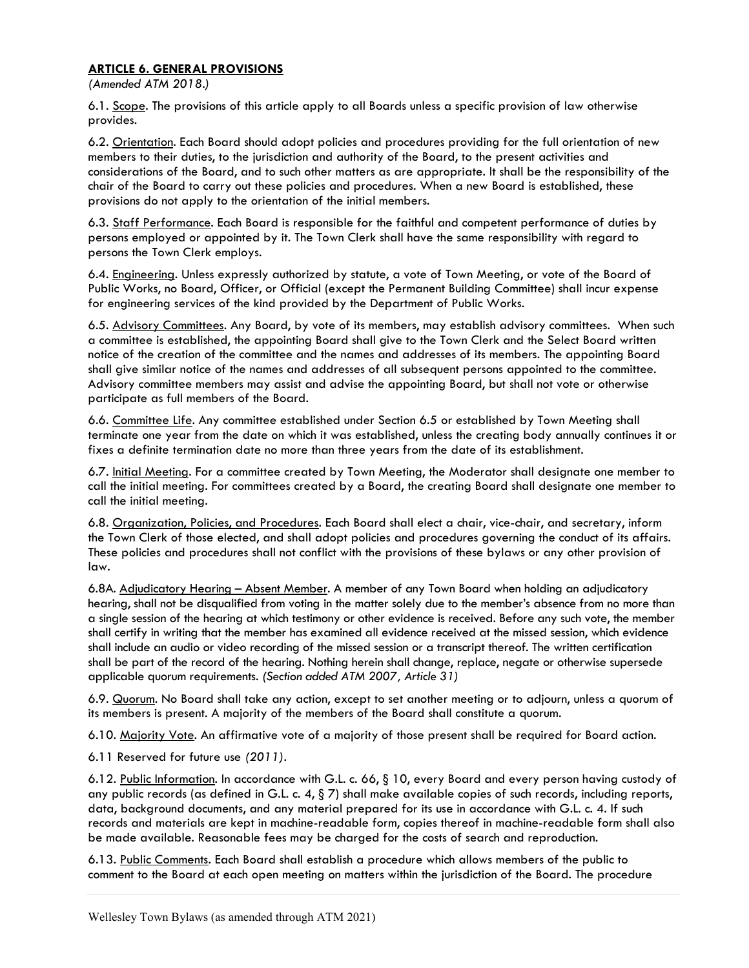## ARTICLE 6. GENERAL PROVISIONS

(Amended ATM 2018.)

6.1. Scope. The provisions of this article apply to all Boards unless a specific provision of law otherwise provides.

6.2. Orientation. Each Board should adopt policies and procedures providing for the full orientation of new members to their duties, to the jurisdiction and authority of the Board, to the present activities and considerations of the Board, and to such other matters as are appropriate. It shall be the responsibility of the chair of the Board to carry out these policies and procedures. When a new Board is established, these provisions do not apply to the orientation of the initial members.

6.3. Staff Performance. Each Board is responsible for the faithful and competent performance of duties by persons employed or appointed by it. The Town Clerk shall have the same responsibility with regard to persons the Town Clerk employs.

6.4. Engineering. Unless expressly authorized by statute, a vote of Town Meeting, or vote of the Board of Public Works, no Board, Officer, or Official (except the Permanent Building Committee) shall incur expense for engineering services of the kind provided by the Department of Public Works.

6.5. Advisory Committees. Any Board, by vote of its members, may establish advisory committees. When such a committee is established, the appointing Board shall give to the Town Clerk and the Select Board written notice of the creation of the committee and the names and addresses of its members. The appointing Board shall give similar notice of the names and addresses of all subsequent persons appointed to the committee. Advisory committee members may assist and advise the appointing Board, but shall not vote or otherwise participate as full members of the Board.

6.6. Committee Life. Any committee established under Section 6.5 or established by Town Meeting shall terminate one year from the date on which it was established, unless the creating body annually continues it or fixes a definite termination date no more than three years from the date of its establishment.

6.7. Initial Meeting. For a committee created by Town Meeting, the Moderator shall designate one member to call the initial meeting. For committees created by a Board, the creating Board shall designate one member to call the initial meeting.

6.8. Organization, Policies, and Procedures. Each Board shall elect a chair, vice-chair, and secretary, inform the Town Clerk of those elected, and shall adopt policies and procedures governing the conduct of its affairs. These policies and procedures shall not conflict with the provisions of these bylaws or any other provision of law.

6.8A. Adjudicatory Hearing – Absent Member. A member of any Town Board when holding an adjudicatory hearing, shall not be disqualified from voting in the matter solely due to the member's absence from no more than a single session of the hearing at which testimony or other evidence is received. Before any such vote, the member shall certify in writing that the member has examined all evidence received at the missed session, which evidence shall include an audio or video recording of the missed session or a transcript thereof. The written certification shall be part of the record of the hearing. Nothing herein shall change, replace, negate or otherwise supersede applicable quorum requirements. (Section added ATM 2007, Article 31)

6.9. Quorum. No Board shall take any action, except to set another meeting or to adjourn, unless a quorum of its members is present. A majority of the members of the Board shall constitute a quorum.

6.10. Majority Vote. An affirmative vote of a majority of those present shall be required for Board action.

6.11 Reserved for future use (2011).

6.12. Public Information. In accordance with G.L. c. 66, § 10, every Board and every person having custody of any public records (as defined in G.L. c. 4,  $\S$  7) shall make available copies of such records, including reports, data, background documents, and any material prepared for its use in accordance with G.L. c. 4. If such records and materials are kept in machine-readable form, copies thereof in machine-readable form shall also be made available. Reasonable fees may be charged for the costs of search and reproduction.

6.13. Public Comments. Each Board shall establish a procedure which allows members of the public to comment to the Board at each open meeting on matters within the jurisdiction of the Board. The procedure